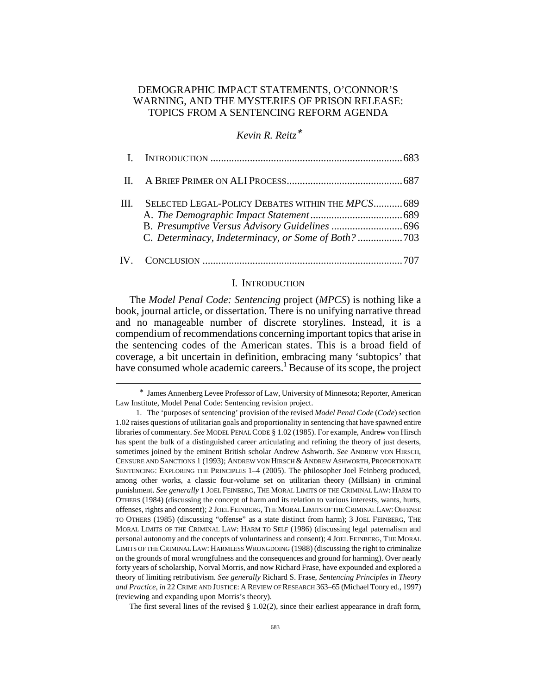# DEMOGRAPHIC IMPACT STATEMENTS, O'CONNOR'S WARNING, AND THE MYSTERIES OF PRISON RELEASE: TOPICS FROM A SENTENCING REFORM AGENDA

# *Kevin R. Reitz*<sup>∗</sup>

| HL. | SELECTED LEGAL-POLICY DEBATES WITHIN THE MPCS 689<br>C. Determinacy, Indeterminacy, or Some of Both? 703 |  |
|-----|----------------------------------------------------------------------------------------------------------|--|
|     |                                                                                                          |  |

#### I. INTRODUCTION

The *Model Penal Code: Sentencing* project (*MPCS*) is nothing like a book, journal article, or dissertation. There is no unifying narrative thread and no manageable number of discrete storylines. Instead, it is a compendium of recommendations concerning important topics that arise in the sentencing codes of the American states. This is a broad field of coverage, a bit uncertain in definition, embracing many 'subtopics' that have consumed whole academic careers.<sup>1</sup> Because of its scope, the project

<sup>∗</sup> James Annenberg Levee Professor of Law, University of Minnesota; Reporter, American Law Institute, Model Penal Code: Sentencing revision project.

 <sup>1.</sup> The 'purposes of sentencing' provision of the revised *Model Penal Code* (*Code*) section 1.02 raises questions of utilitarian goals and proportionality in sentencing that have spawned entire libraries of commentary. *See* MODEL PENAL CODE § 1.02 (1985). For example, Andrew von Hirsch has spent the bulk of a distinguished career articulating and refining the theory of just deserts, sometimes joined by the eminent British scholar Andrew Ashworth. *See* ANDREW VON HIRSCH, CENSURE AND SANCTIONS 1 (1993); ANDREW VON HIRSCH & ANDREW ASHWORTH, PROPORTIONATE SENTENCING: EXPLORING THE PRINCIPLES 1–4 (2005). The philosopher Joel Feinberg produced, among other works, a classic four-volume set on utilitarian theory (Millsian) in criminal punishment. *See generally* 1 JOEL FEINBERG, THE MORAL LIMITS OF THE CRIMINAL LAW: HARM TO OTHERS (1984) (discussing the concept of harm and its relation to various interests, wants, hurts, offenses, rights and consent); 2 JOEL FEINBERG, THE MORAL LIMITS OF THE CRIMINAL LAW:OFFENSE TO OTHERS (1985) (discussing "offense" as a state distinct from harm); 3 JOEL FEINBERG, THE MORAL LIMITS OF THE CRIMINAL LAW: HARM TO SELF (1986) (discussing legal paternalism and personal autonomy and the concepts of voluntariness and consent); 4 JOEL FEINBERG, THE MORAL LIMITS OF THE CRIMINAL LAW: HARMLESS WRONGDOING (1988) (discussing the right to criminalize on the grounds of moral wrongfulness and the consequences and ground for harming). Over nearly forty years of scholarship, Norval Morris, and now Richard Frase, have expounded and explored a theory of limiting retributivism. *See generally* Richard S. Frase, *Sentencing Principles in Theory and Practice*, *in* 22 CRIME AND JUSTICE: A REVIEW OF RESEARCH 363–65 (Michael Tonry ed., 1997) (reviewing and expanding upon Morris's theory).

The first several lines of the revised  $\S 1.02(2)$ , since their earliest appearance in draft form,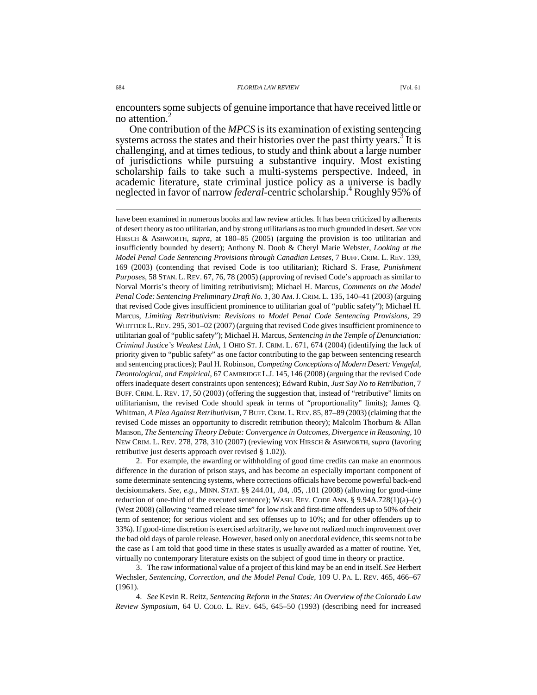encounters some subjects of genuine importance that have received little or no attention. $<sup>2</sup>$ </sup>

One contribution of the *MPCS* is its examination of existing sentencing systems across the states and their histories over the past thirty years.<sup>3</sup> It is challenging, and at times tedious, to study and think about a large number of jurisdictions while pursuing a substantive inquiry. Most existing scholarship fails to take such a multi-systems perspective. Indeed, in academic literature, state criminal justice policy as a universe is badly neglected in favor of narrow *federal*-centric scholarship.<sup>4</sup> Roughly 95% of

 2. For example, the awarding or withholding of good time credits can make an enormous difference in the duration of prison stays, and has become an especially important component of some determinate sentencing systems, where corrections officials have become powerful back-end decisionmakers. *See, e.g.*, MINN. STAT. §§ 244.01, .04, .05, .101 (2008) (allowing for good-time reduction of one-third of the executed sentence); WASH. REV. CODE ANN. § 9.94A.728(1)(a)–(c) (West 2008) (allowing "earned release time" for low risk and first-time offenders up to 50% of their term of sentence; for serious violent and sex offenses up to 10%; and for other offenders up to 33%). If good-time discretion is exercised arbitrarily, we have not realized much improvement over the bad old days of parole release. However, based only on anecdotal evidence, this seems not to be the case as I am told that good time in these states is usually awarded as a matter of routine. Yet, virtually no contemporary literature exists on the subject of good time in theory or practice.

 3. The raw informational value of a project of this kind may be an end in itself. *See* Herbert Wechsler, *Sentencing, Correction, and the Model Penal Code*, 109 U. PA. L. REV. 465, 466–67 (1961).

 4. *See* Kevin R. Reitz, *Sentencing Reform in the States: An Overview of the Colorado Law Review Symposium*, 64 U. COLO. L. REV. 645, 645–50 (1993) (describing need for increased

have been examined in numerous books and law review articles. It has been criticized by adherents of desert theory as too utilitarian, and by strong utilitarians as too much grounded in desert. *See* VON HIRSCH & ASHWORTH, *supra*, at 180–85 (2005) (arguing the provision is too utilitarian and insufficiently bounded by desert); Anthony N. Doob & Cheryl Marie Webster, *Looking at the Model Penal Code Sentencing Provisions through Canadian Lenses*, 7 BUFF. CRIM. L. REV. 139, 169 (2003) (contending that revised Code is too utilitarian); Richard S. Frase, *Punishment Purposes*, 58 STAN. L. REV. 67, 76, 78 (2005) (approving of revised Code's approach as similar to Norval Morris's theory of limiting retributivism); Michael H. Marcus, *Comments on the Model Penal Code: Sentencing Preliminary Draft No. 1*, 30 AM.J.CRIM. L. 135, 140–41 (2003) (arguing that revised Code gives insufficient prominence to utilitarian goal of "public safety"); Michael H. Marcus, *Limiting Retributivism: Revisions to Model Penal Code Sentencing Provisions*, 29 WHITTIER L. REV. 295, 301–02 (2007) (arguing that revised Code gives insufficient prominence to utilitarian goal of "public safety"); Michael H. Marcus, *Sentencing in the Temple of Denunciation: Criminal Justice's Weakest Link*, 1 OHIO ST. J. CRIM. L. 671, 674 (2004) (identifying the lack of priority given to "public safety" as one factor contributing to the gap between sentencing research and sentencing practices); Paul H. Robinson, *Competing Conceptions of Modern Desert: Vengeful, Deontological, and Empirical*, 67 CAMBRIDGE L.J. 145, 146 (2008) (arguing that the revised Code offers inadequate desert constraints upon sentences); Edward Rubin, *Just Say No to Retribution*, 7 BUFF. CRIM. L. REV. 17, 50 (2003) (offering the suggestion that, instead of "retributive" limits on utilitarianism, the revised Code should speak in terms of "proportionality" limits); James Q. Whitman, *A Plea Against Retributivism*, 7 BUFF.CRIM. L.REV. 85, 87–89 (2003) (claiming that the revised Code misses an opportunity to discredit retribution theory); Malcolm Thorburn & Allan Manson, *The Sentencing Theory Debate: Convergence in Outcomes, Divergence in Reasoning*, 10 NEW CRIM. L. REV. 278, 278, 310 (2007) (reviewing VON HIRSCH & ASHWORTH, *supra* (favoring retributive just deserts approach over revised § 1.02)).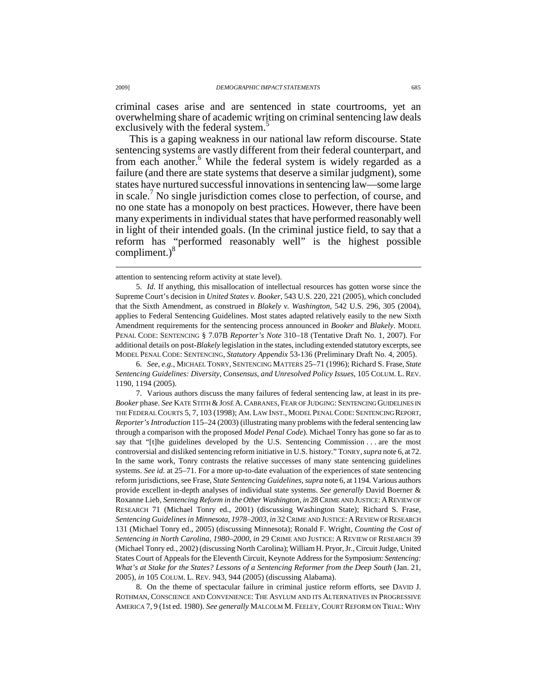criminal cases arise and are sentenced in state courtrooms, yet an overwhelming share of academic writing on criminal sentencing law deals exclusively with the federal system.<sup>5</sup>

This is a gaping weakness in our national law reform discourse. State sentencing systems are vastly different from their federal counterpart, and from each another.<sup>6</sup> While the federal system is widely regarded as a failure (and there are state systems that deserve a similar judgment), some states have nurtured successful innovations in sentencing law—some large in scale.<sup>7</sup> No single jurisdiction comes close to perfection, of course, and no one state has a monopoly on best practices. However, there have been many experiments in individual states that have performed reasonably well in light of their intended goals. (In the criminal justice field, to say that a reform has "performed reasonably well" is the highest possible compliment.)<sup>8</sup>

 6. *See, e.g.*, MICHAEL TONRY, SENTENCING MATTERS 25–71 (1996); Richard S. Frase, *State Sentencing Guidelines: Diversity, Consensus, and Unresolved Policy Issues*, 105 COLUM. L. REV. 1190, 1194 (2005).

 7. Various authors discuss the many failures of federal sentencing law, at least in its pre-*Booker* phase. *See* KATE STITH & JOSÉ A.CABRANES, FEAR OF JUDGING: SENTENCING GUIDELINES IN THE FEDERAL COURTS 5, 7, 103 (1998); AM. LAW INST., MODEL PENAL CODE: SENTENCING REPORT, *Reporter's Introduction* 115–24 (2003) (illustrating many problems with the federal sentencing law through a comparison with the proposed *Model Penal Code*). Michael Tonry has gone so far as to say that "[t]he guidelines developed by the U.S. Sentencing Commission . . . are the most controversial and disliked sentencing reform initiative in U.S. history." TONRY,*supra* note 6, at 72. In the same work, Tonry contrasts the relative successes of many state sentencing guidelines systems. *See id.* at 25–71. For a more up-to-date evaluation of the experiences of state sentencing reform jurisdictions, see Frase, *State Sentencing Guidelines*, *supra* note 6, at 1194. Various authors provide excellent in-depth analyses of individual state systems. *See generally* David Boerner & Roxanne Lieb, *Sentencing Reform in the Other Washington*, *in* 28 CRIME AND JUSTICE: A REVIEW OF RESEARCH 71 (Michael Tonry ed., 2001) (discussing Washington State); Richard S. Frase, Sentencing Guidelines in Minnesota, 1978-2003, in 32 CRIME AND JUSTICE: A REVIEW OF RESEARCH 131 (Michael Tonry ed., 2005) (discussing Minnesota); Ronald F. Wright, *Counting the Cost of Sentencing in North Carolina, 1980–2000*, *in* 29 CRIME AND JUSTICE: A REVIEW OF RESEARCH 39 (Michael Tonry ed., 2002) (discussing North Carolina); William H. Pryor, Jr., Circuit Judge, United States Court of Appeals for the Eleventh Circuit, Keynote Address for the Symposium: *Sentencing: What's at Stake for the States? Lessons of a Sentencing Reformer from the Deep South* (Jan. 21, 2005), *in* 105 COLUM. L. REV. 943, 944 (2005) (discussing Alabama).

 8. On the theme of spectacular failure in criminal justice reform efforts, see DAVID J. ROTHMAN, CONSCIENCE AND CONVENIENCE: THE ASYLUM AND ITS ALTERNATIVES IN PROGRESSIVE AMERICA 7, 9 (1st ed. 1980). *See generally* MALCOLM M. FEELEY, COURT REFORM ON TRIAL: WHY

attention to sentencing reform activity at state level).

 <sup>5.</sup> *Id.* If anything, this misallocation of intellectual resources has gotten worse since the Supreme Court's decision in *United States v. Booker*, 543 U.S. 220, 221 (2005), which concluded that the Sixth Amendment, as construed in *Blakely v. Washington*, 542 U.S. 296, 305 (2004), applies to Federal Sentencing Guidelines. Most states adapted relatively easily to the new Sixth Amendment requirements for the sentencing process announced in *Booker* and *Blakely*. MODEL PENAL CODE: SENTENCING § 7.07B *Reporter's Note* 310–18 (Tentative Draft No. 1, 2007). For additional details on post-*Blakely* legislation in the states, including extended statutory excerpts, see MODEL PENAL CODE: SENTENCING, *Statutory Appendix* 53-136 (Preliminary Draft No. 4, 2005).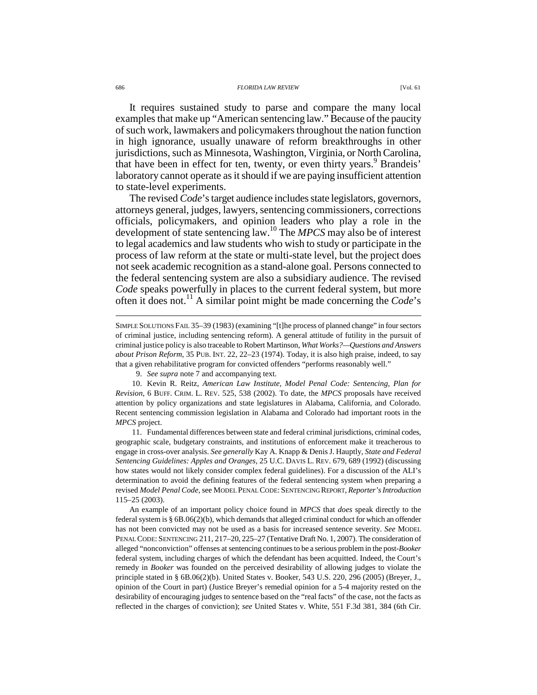#### 686 *FLORIDA LAW REVIEW* [Vol. 61

It requires sustained study to parse and compare the many local examples that make up "American sentencing law." Because of the paucity of such work, lawmakers and policymakers throughout the nation function in high ignorance, usually unaware of reform breakthroughs in other jurisdictions, such as Minnesota, Washington, Virginia, or North Carolina, that have been in effect for ten, twenty, or even thirty years.<sup>9</sup> Brandeis' laboratory cannot operate as it should if we are paying insufficient attention to state-level experiments.

The revised *Code*'s target audience includes state legislators, governors, attorneys general, judges, lawyers, sentencing commissioners, corrections officials, policymakers, and opinion leaders who play a role in the development of state sentencing law.<sup>10</sup> The *MPCS* may also be of interest to legal academics and law students who wish to study or participate in the process of law reform at the state or multi-state level, but the project does not seek academic recognition as a stand-alone goal. Persons connected to the federal sentencing system are also a subsidiary audience. The revised *Code* speaks powerfully in places to the current federal system, but more often it does not.<sup>11</sup> A similar point might be made concerning the *Code*'s

 11. Fundamental differences between state and federal criminal jurisdictions, criminal codes, geographic scale, budgetary constraints, and institutions of enforcement make it treacherous to engage in cross-over analysis. *See generally* Kay A. Knapp & Denis J. Hauptly, *State and Federal Sentencing Guidelines: Apples and Oranges*, 25 U.C. DAVIS L. REV. 679, 689 (1992) (discussing how states would not likely consider complex federal guidelines). For a discussion of the ALI's determination to avoid the defining features of the federal sentencing system when preparing a revised *Model Penal Code*, see MODEL PENAL CODE: SENTENCING REPORT, *Reporter's Introduction* 115–25 (2003).

An example of an important policy choice found in *MPCS* that *does* speak directly to the federal system is § 6B.06(2)(b), which demands that alleged criminal conduct for which an offender has not been convicted may not be used as a basis for increased sentence severity. *See* MODEL PENAL CODE: SENTENCING 211, 217–20, 225–27 (Tentative Draft No. 1, 2007). The consideration of alleged "nonconviction" offenses at sentencing continues to be a serious problem in the post-*Booker* federal system, including charges of which the defendant has been acquitted. Indeed, the Court's remedy in *Booker* was founded on the perceived desirability of allowing judges to violate the principle stated in § 6B.06(2)(b). United States v. Booker, 543 U.S. 220, 296 (2005) (Breyer, J., opinion of the Court in part) (Justice Breyer's remedial opinion for a 5-4 majority rested on the desirability of encouraging judges to sentence based on the "real facts" of the case, not the facts as reflected in the charges of conviction); *see* United States v. White, 551 F.3d 381, 384 (6th Cir.

SIMPLE SOLUTIONS FAIL 35–39 (1983) (examining "[t]he process of planned change" in four sectors of criminal justice, including sentencing reform). A general attitude of futility in the pursuit of criminal justice policy is also traceable to Robert Martinson, *What Works?—Questions and Answers about Prison Reform*, 35 PUB. INT. 22, 22–23 (1974). Today, it is also high praise, indeed, to say that a given rehabilitative program for convicted offenders "performs reasonably well."

 <sup>9.</sup> *See supra* note 7 and accompanying text.

 <sup>10.</sup> Kevin R. Reitz, *American Law Institute, Model Penal Code: Sentencing, Plan for Revision*, 6 BUFF. CRIM. L. REV. 525, 538 (2002). To date, the *MPCS* proposals have received attention by policy organizations and state legislatures in Alabama, California, and Colorado. Recent sentencing commission legislation in Alabama and Colorado had important roots in the *MPCS* project.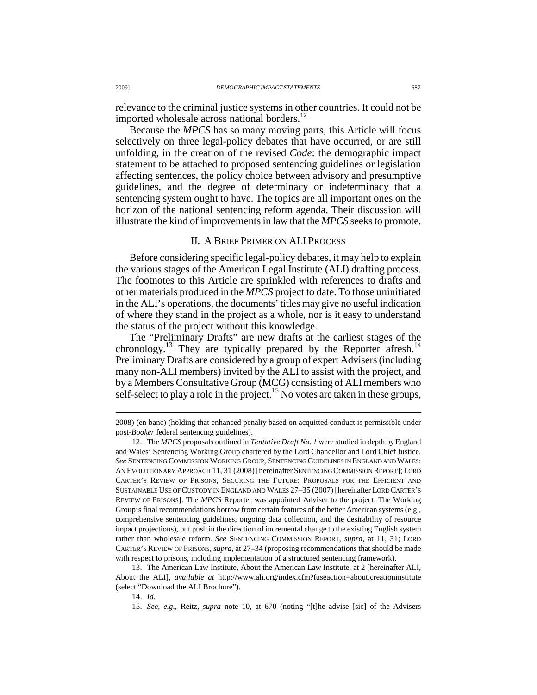relevance to the criminal justice systems in other countries. It could not be imported wholesale across national borders.<sup>12</sup>

Because the *MPCS* has so many moving parts, this Article will focus selectively on three legal-policy debates that have occurred, or are still unfolding, in the creation of the revised *Code*: the demographic impact statement to be attached to proposed sentencing guidelines or legislation affecting sentences, the policy choice between advisory and presumptive guidelines, and the degree of determinacy or indeterminacy that a sentencing system ought to have. The topics are all important ones on the horizon of the national sentencing reform agenda. Their discussion will illustrate the kind of improvements in law that the *MPCS* seeks to promote.

# II. A BRIEF PRIMER ON ALI PROCESS

Before considering specific legal-policy debates, it may help to explain the various stages of the American Legal Institute (ALI) drafting process. The footnotes to this Article are sprinkled with references to drafts and other materials produced in the *MPCS* project to date. To those uninitiated in the ALI's operations, the documents' titles may give no useful indication of where they stand in the project as a whole, nor is it easy to understand the status of the project without this knowledge.

The "Preliminary Drafts" are new drafts at the earliest stages of the chronology.<sup>13</sup> They are typically prepared by the Reporter afresh.<sup>14</sup> Preliminary Drafts are considered by a group of expert Advisers (including many non-ALI members) invited by the ALI to assist with the project, and by a Members Consultative Group (MCG) consisting of ALI members who self-select to play a role in the project.<sup>15</sup> No votes are taken in these groups,

 13. The American Law Institute, About the American Law Institute, at 2 [hereinafter ALI, About the ALI], *available at* http://www.ali.org/index.cfm?fuseaction=about.creationinstitute (select "Download the ALI Brochure").

<sup>2008) (</sup>en banc) (holding that enhanced penalty based on acquitted conduct is permissible under post-*Booker* federal sentencing guidelines).

 <sup>12.</sup> The *MPCS* proposals outlined in *Tentative Draft No. 1* were studied in depth by England and Wales' Sentencing Working Group chartered by the Lord Chancellor and Lord Chief Justice. *See* SENTENCING COMMISSION WORKING GROUP, SENTENCING GUIDELINES IN ENGLAND AND WALES: AN EVOLUTIONARY APPROACH 11, 31 (2008) [hereinafter SENTENCING COMMISSION REPORT]; LORD CARTER'S REVIEW OF PRISONS, SECURING THE FUTURE: PROPOSALS FOR THE EFFICIENT AND SUSTAINABLE USE OF CUSTODY IN ENGLAND AND WALES 27–35 (2007) [hereinafter LORD CARTER'S REVIEW OF PRISONS]. The *MPCS* Reporter was appointed Adviser to the project. The Working Group's final recommendations borrow from certain features of the better American systems (e.g., comprehensive sentencing guidelines, ongoing data collection, and the desirability of resource impact projections), but push in the direction of incremental change to the existing English system rather than wholesale reform. *See* SENTENCING COMMISSION REPORT, *supra*, at 11, 31; LORD CARTER'S REVIEW OF PRISONS, *supra*, at 27–34 (proposing recommendations that should be made with respect to prisons, including implementation of a structured sentencing framework).

 <sup>14.</sup> *Id.*

 <sup>15.</sup> *See, e.g.*, Reitz, *supra* note 10, at 670 (noting "[t]he advise [sic] of the Advisers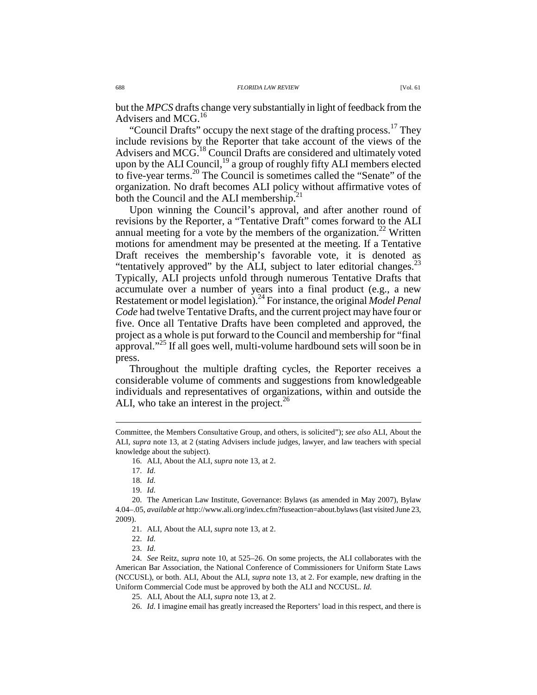but the *MPCS* drafts change very substantially in light of feedback from the Advisers and MCG.<sup>16</sup>

"Council Drafts" occupy the next stage of the drafting process.<sup>17</sup> They include revisions by the Reporter that take account of the views of the Advisers and MCG.<sup>18</sup> Council Drafts are considered and ultimately voted upon by the ALI Council,<sup>19</sup> a group of roughly fifty ALI members elected to five-year terms.<sup>20</sup> The Council is sometimes called the "Senate" of the organization. No draft becomes ALI policy without affirmative votes of both the Council and the ALI membership.<sup>2</sup>

Upon winning the Council's approval, and after another round of revisions by the Reporter, a "Tentative Draft" comes forward to the ALI annual meeting for a vote by the members of the organization.<sup>22</sup> Written motions for amendment may be presented at the meeting. If a Tentative Draft receives the membership's favorable vote, it is denoted as "tentatively approved" by the ALI, subject to later editorial changes.<sup>23</sup> Typically, ALI projects unfold through numerous Tentative Drafts that accumulate over a number of years into a final product (e.g., a new Restatement or model legislation).<sup>24</sup> For instance, the original *Model Penal Code* had twelve Tentative Drafts, and the current project may have four or five. Once all Tentative Drafts have been completed and approved, the project as a whole is put forward to the Council and membership for "final approval."<sup>25</sup> If all goes well, multi-volume hardbound sets will soon be in press.

Throughout the multiple drafting cycles, the Reporter receives a considerable volume of comments and suggestions from knowledgeable individuals and representatives of organizations, within and outside the ALI, who take an interest in the project. $26$ 

Committee, the Members Consultative Group, and others, is solicited"); *see also* ALI, About the ALI, *supra* note 13, at 2 (stating Advisers include judges, lawyer, and law teachers with special knowledge about the subject).

 <sup>16.</sup> ALI, About the ALI, *supra* note 13, at 2.

 <sup>17.</sup> *Id.*

 <sup>18.</sup> *Id.*

 <sup>19.</sup> *Id.*

 <sup>20.</sup> The American Law Institute, Governance: Bylaws (as amended in May 2007), Bylaw 4.04–.05, *available at* http://www.ali.org/index.cfm?fuseaction=about.bylaws (last visited June 23, 2009).

 <sup>21.</sup> ALI, About the ALI, *supra* note 13, at 2.

 <sup>22.</sup> *Id.*

 <sup>23.</sup> *Id.*

 <sup>24.</sup> *See* Reitz, *supra* note 10, at 525–26. On some projects, the ALI collaborates with the American Bar Association, the National Conference of Commissioners for Uniform State Laws (NCCUSL), or both. ALI, About the ALI, *supra* note 13, at 2. For example, new drafting in the Uniform Commercial Code must be approved by both the ALI and NCCUSL. *Id.*

 <sup>25.</sup> ALI, About the ALI, *supra* note 13, at 2.

 <sup>26.</sup> *Id.* I imagine email has greatly increased the Reporters' load in this respect, and there is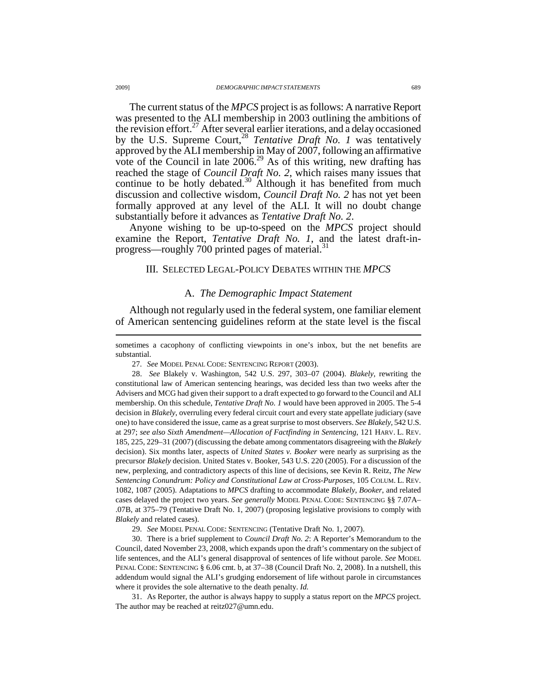The current status of the *MPCS* project is as follows: A narrative Report was presented to the ALI membership in 2003 outlining the ambitions of the revision effort.<sup>27</sup> After several earlier iterations, and a delay occasioned by the U.S. Supreme Court,<sup>28</sup> *Tentative Draft No. 1* was tentatively approved by the ALI membership in May of 2007, following an affirmative vote of the Council in late  $2006<sup>29</sup>$  As of this writing, new drafting has reached the stage of *Council Draft No. 2*, which raises many issues that continue to be hotly debated.<sup>30</sup> Although it has benefited from much discussion and collective wisdom, *Council Draft No. 2* has not yet been formally approved at any level of the ALI. It will no doubt change substantially before it advances as *Tentative Draft No. 2*.

Anyone wishing to be up-to-speed on the *MPCS* project should examine the Report, *Tentative Draft No. 1*, and the latest draft-inprogress—roughly 700 printed pages of material.<sup>31</sup>

# III. SELECTED LEGAL-POLICY DEBATES WITHIN THE *MPCS*

### A. *The Demographic Impact Statement*

Although not regularly used in the federal system, one familiar element of American sentencing guidelines reform at the state level is the fiscal

27. *See* MODEL PENAL CODE: SENTENCING REPORT (2003).

 28. *See* Blakely v. Washington, 542 U.S. 297, 303–07 (2004). *Blakely*, rewriting the constitutional law of American sentencing hearings, was decided less than two weeks after the Advisers and MCG had given their support to a draft expected to go forward to the Council and ALI membership. On this schedule, *Tentative Draft No. 1* would have been approved in 2005. The 5-4 decision in *Blakely*, overruling every federal circuit court and every state appellate judiciary (save one) to have considered the issue, came as a great surprise to most observers. *See Blakely*, 542 U.S. at 297; *see also Sixth Amendment—Allocation of Factfinding in Sentencing*, 121 HARV. L. REV. 185, 225, 229–31 (2007) (discussing the debate among commentators disagreeing with the *Blakely* decision). Six months later, aspects of *United States v. Booker* were nearly as surprising as the precursor *Blakely* decision. United States v. Booker, 543 U.S. 220 (2005). For a discussion of the new, perplexing, and contradictory aspects of this line of decisions, see Kevin R. Reitz, *The New Sentencing Conundrum: Policy and Constitutional Law at Cross-Purposes*, 105 COLUM. L. REV. 1082, 1087 (2005). Adaptations to *MPCS* drafting to accommodate *Blakely*, *Booker*, and related cases delayed the project two years. *See generally* MODEL PENAL CODE: SENTENCING §§ 7.07A– .07B, at 375–79 (Tentative Draft No. 1, 2007) (proposing legislative provisions to comply with *Blakely* and related cases).

29. *See* MODEL PENAL CODE: SENTENCING (Tentative Draft No. 1, 2007).

 30. There is a brief supplement to *Council Draft No. 2*: A Reporter's Memorandum to the Council, dated November 23, 2008, which expands upon the draft's commentary on the subject of life sentences, and the ALI's general disapproval of sentences of life without parole. *See* MODEL PENAL CODE: SENTENCING § 6.06 cmt. b, at 37–38 (Council Draft No. 2, 2008). In a nutshell, this addendum would signal the ALI's grudging endorsement of life without parole in circumstances where it provides the sole alternative to the death penalty. *Id.*

 31. As Reporter, the author is always happy to supply a status report on the *MPCS* project. The author may be reached at reitz027@umn.edu.

sometimes a cacophony of conflicting viewpoints in one's inbox, but the net benefits are substantial.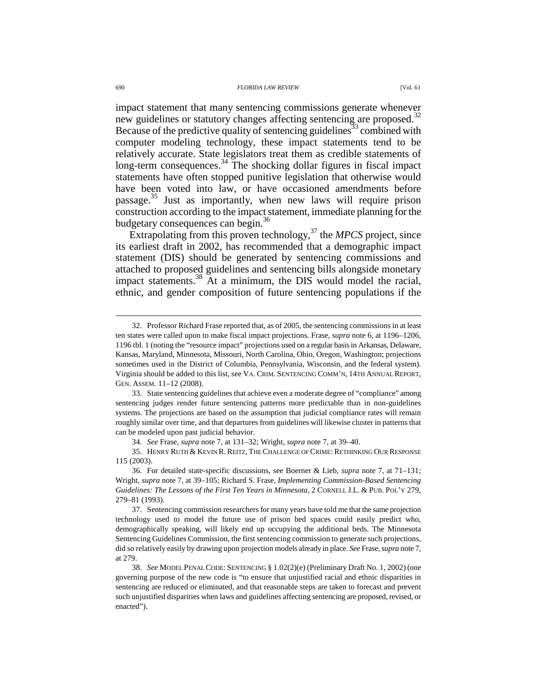#### 690 *FLORIDA LAW REVIEW* [Vol. 61

impact statement that many sentencing commissions generate whenever new guidelines or statutory changes affecting sentencing are proposed.<sup>32</sup> Because of the predictive quality of sentencing guidelines<sup>33</sup> combined with computer modeling technology, these impact statements tend to be relatively accurate. State legislators treat them as credible statements of long-term consequences.<sup>34</sup> The shocking dollar figures in fiscal impact statements have often stopped punitive legislation that otherwise would have been voted into law, or have occasioned amendments before passage.<sup>35</sup> Just as importantly, when new laws will require prison construction according to the impact statement, immediate planning for the budgetary consequences can begin.<sup>36</sup>

Extrapolating from this proven technology,<sup>37</sup> the *MPCS* project, since its earliest draft in 2002, has recommended that a demographic impact statement (DIS) should be generated by sentencing commissions and attached to proposed guidelines and sentencing bills alongside monetary impact statements.<sup>38</sup> At a minimum, the DIS would model the racial, ethnic, and gender composition of future sentencing populations if the

 <sup>32.</sup> Professor Richard Frase reported that, as of 2005, the sentencing commissions in at least ten states were called upon to make fiscal impact projections. Frase, *supra* note 6, at 1196–1206, 1196 tbl. 1 (noting the "resource impact" projections used on a regular basis in Arkansas, Delaware, Kansas, Maryland, Minnesota, Missouri, North Carolina, Ohio, Oregon, Washington; projections sometimes used in the District of Columbia, Pennsylvania, Wisconsin, and the federal system). Virginia should be added to this list, see VA. CRIM. SENTENCING COMM'N, 14TH ANNUAL REPORT, GEN. ASSEM. 11–12 (2008).

 <sup>33.</sup> State sentencing guidelines that achieve even a moderate degree of "compliance" among sentencing judges render future sentencing patterns more predictable than in non-guidelines systems. The projections are based on the assumption that judicial compliance rates will remain roughly similar over time, and that departures from guidelines will likewise cluster in patterns that can be modeled upon past judicial behavior.

 <sup>34.</sup> *See* Frase, *supra* note 7, at 131–32; Wright, *supra* note 7, at 39–40.

<sup>35.</sup> HENRY RUTH & KEVIN R. REITZ, THE CHALLENGE OF CRIME: RETHINKING OUR RESPONSE 115 (2003).

 <sup>36.</sup> For detailed state-specific discussions, see Boerner & Lieb, *supra* note 7, at 71–131; Wright, *supra* note 7, at 39–105; Richard S. Frase, *Implementing Commission-Based Sentencing Guidelines: The Lessons of the First Ten Years in Minnesota*, 2 CORNELL J.L. & PUB. POL'Y 279, 279–81 (1993).

 <sup>37.</sup> Sentencing commission researchers for many years have told me that the same projection technology used to model the future use of prison bed spaces could easily predict who, demographically speaking, will likely end up occupying the additional beds. The Minnesota Sentencing Guidelines Commission, the first sentencing commission to generate such projections, did so relatively easily by drawing upon projection models already in place. *See* Frase, *supra* note 7, at 279.

 <sup>38.</sup> *See* MODEL PENAL CODE: SENTENCING § 1.02(2)(e) (Preliminary Draft No. 1, 2002) (one governing purpose of the new code is "to ensure that unjustified racial and ethnic disparities in sentencing are reduced or eliminated, and that reasonable steps are taken to forecast and prevent such unjustified disparities when laws and guidelines affecting sentencing are proposed, revised, or enacted").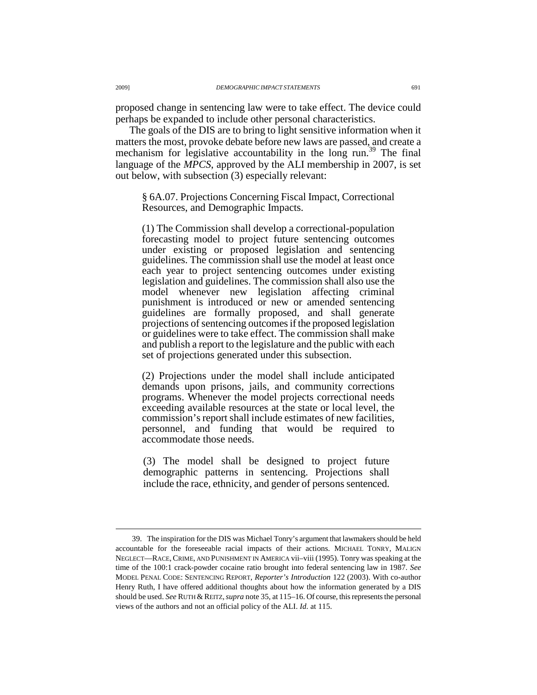proposed change in sentencing law were to take effect. The device could perhaps be expanded to include other personal characteristics.

The goals of the DIS are to bring to light sensitive information when it matters the most, provoke debate before new laws are passed, and create a mechanism for legislative accountability in the long run.<sup>39</sup> The final language of the *MPCS*, approved by the ALI membership in 2007, is set out below, with subsection (3) especially relevant:

§ 6A.07. Projections Concerning Fiscal Impact, Correctional Resources, and Demographic Impacts.

(1) The Commission shall develop a correctional-population forecasting model to project future sentencing outcomes under existing or proposed legislation and sentencing guidelines. The commission shall use the model at least once each year to project sentencing outcomes under existing legislation and guidelines. The commission shall also use the model whenever new legislation affecting criminal punishment is introduced or new or amended sentencing guidelines are formally proposed, and shall generate projections of sentencing outcomes if the proposed legislation or guidelines were to take effect. The commission shall make and publish a report to the legislature and the public with each set of projections generated under this subsection.

(2) Projections under the model shall include anticipated demands upon prisons, jails, and community corrections programs. Whenever the model projects correctional needs exceeding available resources at the state or local level, the commission's report shall include estimates of new facilities, personnel, and funding that would be required to accommodate those needs.

(3) The model shall be designed to project future demographic patterns in sentencing. Projections shall include the race, ethnicity, and gender of persons sentenced.

 <sup>39.</sup> The inspiration for the DIS was Michael Tonry's argument that lawmakers should be held accountable for the foreseeable racial impacts of their actions. MICHAEL TONRY, MALIGN NEGLECT—RACE,CRIME, AND PUNISHMENT IN AMERICA vii–viii (1995). Tonry was speaking at the time of the 100:1 crack-powder cocaine ratio brought into federal sentencing law in 1987. *See* MODEL PENAL CODE: SENTENCING REPORT, *Reporter's Introduction* 122 (2003). With co-author Henry Ruth, I have offered additional thoughts about how the information generated by a DIS should be used. *See* RUTH & REITZ,*supra* note 35, at 115–16. Of course, this represents the personal views of the authors and not an official policy of the ALI. *Id.* at 115.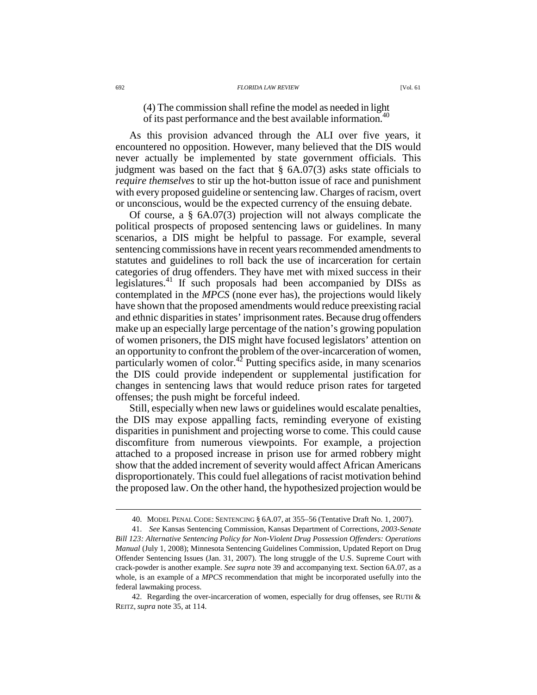(4) The commission shall refine the model as needed in light of its past performance and the best available information.<sup>40</sup>

As this provision advanced through the ALI over five years, it encountered no opposition. However, many believed that the DIS would never actually be implemented by state government officials. This judgment was based on the fact that  $\S$  6A.07(3) asks state officials to *require themselves* to stir up the hot-button issue of race and punishment with every proposed guideline or sentencing law. Charges of racism, overt or unconscious, would be the expected currency of the ensuing debate.

Of course, a § 6A.07(3) projection will not always complicate the political prospects of proposed sentencing laws or guidelines. In many scenarios, a DIS might be helpful to passage. For example, several sentencing commissions have in recent years recommended amendments to statutes and guidelines to roll back the use of incarceration for certain categories of drug offenders. They have met with mixed success in their legislatures.<sup>41</sup> If such proposals had been accompanied by DISs as contemplated in the *MPCS* (none ever has), the projections would likely have shown that the proposed amendments would reduce preexisting racial and ethnic disparities in states' imprisonment rates. Because drug offenders make up an especially large percentage of the nation's growing population of women prisoners, the DIS might have focused legislators' attention on an opportunity to confront the problem of the over-incarceration of women, particularly women of color.<sup>42</sup> Putting specifics aside, in many scenarios the DIS could provide independent or supplemental justification for changes in sentencing laws that would reduce prison rates for targeted offenses; the push might be forceful indeed.

Still, especially when new laws or guidelines would escalate penalties, the DIS may expose appalling facts, reminding everyone of existing disparities in punishment and projecting worse to come. This could cause discomfiture from numerous viewpoints. For example, a projection attached to a proposed increase in prison use for armed robbery might show that the added increment of severity would affect African Americans disproportionately. This could fuel allegations of racist motivation behind the proposed law. On the other hand, the hypothesized projection would be

 <sup>40.</sup> MODEL PENAL CODE: SENTENCING § 6A.07, at 355–56 (Tentative Draft No. 1, 2007).

 <sup>41.</sup> *See* Kansas Sentencing Commission, Kansas Department of Corrections, *2003-Senate Bill 123: Alternative Sentencing Policy for Non-Violent Drug Possession Offenders: Operations Manual* (July 1, 2008); Minnesota Sentencing Guidelines Commission, Updated Report on Drug Offender Sentencing Issues (Jan. 31, 2007). The long struggle of the U.S. Supreme Court with crack-powder is another example. *See supra* note 39 and accompanying text. Section 6A.07, as a whole, is an example of a *MPCS* recommendation that might be incorporated usefully into the federal lawmaking process.

<sup>42.</sup> Regarding the over-incarceration of women, especially for drug offenses, see RUTH  $\&$ REITZ, *supra* note 35, at 114.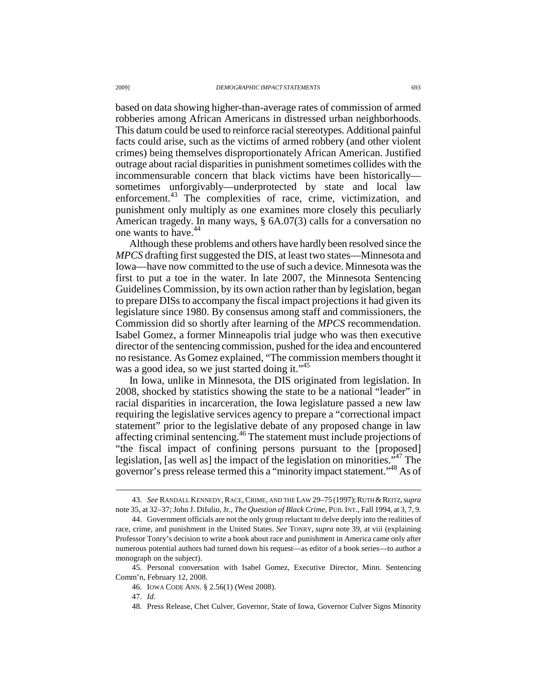based on data showing higher-than-average rates of commission of armed robberies among African Americans in distressed urban neighborhoods. This datum could be used to reinforce racial stereotypes. Additional painful facts could arise, such as the victims of armed robbery (and other violent crimes) being themselves disproportionately African American. Justified outrage about racial disparities in punishment sometimes collides with the incommensurable concern that black victims have been historically sometimes unforgivably—underprotected by state and local law enforcement.<sup>43</sup> The complexities of race, crime, victimization, and punishment only multiply as one examines more closely this peculiarly American tragedy. In many ways, § 6A.07(3) calls for a conversation no one wants to have.<sup>44</sup>

Although these problems and others have hardly been resolved since the *MPCS* drafting first suggested the DIS, at least two states—Minnesota and Iowa—have now committed to the use of such a device. Minnesota was the first to put a toe in the water. In late 2007, the Minnesota Sentencing Guidelines Commission, by its own action rather than by legislation, began to prepare DISs to accompany the fiscal impact projections it had given its legislature since 1980. By consensus among staff and commissioners, the Commission did so shortly after learning of the *MPCS* recommendation. Isabel Gomez, a former Minneapolis trial judge who was then executive director of the sentencing commission, pushed for the idea and encountered no resistance. As Gomez explained, "The commission members thought it was a good idea, so we just started doing it."<sup>45</sup>

In Iowa, unlike in Minnesota, the DIS originated from legislation. In 2008, shocked by statistics showing the state to be a national "leader" in racial disparities in incarceration, the Iowa legislature passed a new law requiring the legislative services agency to prepare a "correctional impact statement" prior to the legislative debate of any proposed change in law affecting criminal sentencing.<sup>46</sup> The statement must include projections of "the fiscal impact of confining persons pursuant to the [proposed] legislation, [as well as] the impact of the legislation on minorities."<sup>47</sup> The governor's press release termed this a "minority impact statement."<sup>48</sup> As of

 <sup>43.</sup> *See* RANDALL KENNEDY,RACE,CRIME, AND THE LAW 29–75 (1997);RUTH &REITZ,*supra*  note 35, at 32–37; John J. DiIulio, Jr., *The Question of Black Crime*, PUB.INT., Fall 1994, at 3, 7, 9.

 <sup>44.</sup> Government officials are not the only group reluctant to delve deeply into the realities of race, crime, and punishment in the United States. *See* TONRY, *supra* note 39, at viii (explaining Professor Tonry's decision to write a book about race and punishment in America came only after numerous potential authors had turned down his request—as editor of a book series—to author a monograph on the subject).

 <sup>45.</sup> Personal conversation with Isabel Gomez, Executive Director, Minn. Sentencing Comm'n, February 12, 2008.

 <sup>46.</sup> IOWA CODE ANN. § 2.56(1) (West 2008).

 <sup>47.</sup> *Id.*

 <sup>48.</sup> Press Release, Chet Culver, Governor, State of Iowa, Governor Culver Signs Minority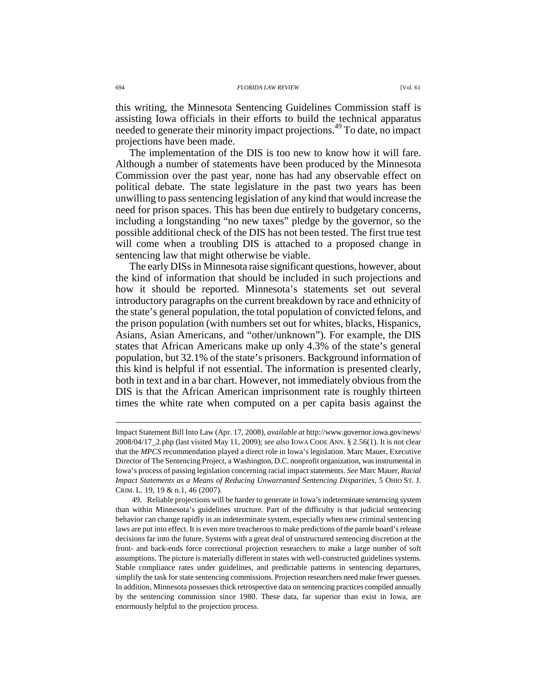this writing, the Minnesota Sentencing Guidelines Commission staff is assisting Iowa officials in their efforts to build the technical apparatus needed to generate their minority impact projections.<sup>49</sup> To date, no impact projections have been made.

The implementation of the DIS is too new to know how it will fare. Although a number of statements have been produced by the Minnesota Commission over the past year, none has had any observable effect on political debate. The state legislature in the past two years has been unwilling to pass sentencing legislation of any kind that would increase the need for prison spaces. This has been due entirely to budgetary concerns, including a longstanding "no new taxes" pledge by the governor, so the possible additional check of the DIS has not been tested. The first true test will come when a troubling DIS is attached to a proposed change in sentencing law that might otherwise be viable.

The early DISs in Minnesota raise significant questions, however, about the kind of information that should be included in such projections and how it should be reported. Minnesota's statements set out several introductory paragraphs on the current breakdown by race and ethnicity of the state's general population, the total population of convicted felons, and the prison population (with numbers set out for whites, blacks, Hispanics, Asians, Asian Americans, and "other/unknown"). For example, the DIS states that African Americans make up only 4.3% of the state's general population, but 32.1% of the state's prisoners. Background information of this kind is helpful if not essential. The information is presented clearly, both in text and in a bar chart. However, not immediately obvious from the DIS is that the African American imprisonment rate is roughly thirteen times the white rate when computed on a per capita basis against the

Impact Statement Bill Into Law (Apr. 17, 2008), *available at* http://www.governor.iowa.gov/news/ 2008/04/17\_2.php (last visited May 11, 2009); *see also* IOWA CODE ANN. § 2.56(1). It is not clear that the *MPCS* recommendation played a direct role in Iowa's legislation. Marc Mauer, Executive Director of The Sentencing Project, a Washington, D.C. nonprofit organization, was instrumental in Iowa's process of passing legislation concerning racial impact statements. *See* Marc Mauer, *Racial Impact Statements as a Means of Reducing Unwarranted Sentencing Disparities*, 5 OHIO ST. J. CRIM. L. 19, 19 & n.1, 46 (2007).

 <sup>49.</sup> Reliable projections will be harder to generate in Iowa's indeterminate sentencing system than within Minnesota's guidelines structure. Part of the difficulty is that judicial sentencing behavior can change rapidly in an indeterminate system, especially when new criminal sentencing laws are put into effect. It is even more treacherous to make predictions of the parole board's release decisions far into the future. Systems with a great deal of unstructured sentencing discretion at the front- and back-ends force correctional projection researchers to make a large number of soft assumptions. The picture is materially different in states with well-constructed guidelines systems. Stable compliance rates under guidelines, and predictable patterns in sentencing departures, simplify the task for state sentencing commissions. Projection researchers need make fewer guesses. In addition, Minnesota possesses thick retrospective data on sentencing practices compiled annually by the sentencing commission since 1980. These data, far superior than exist in Iowa, are enormously helpful to the projection process.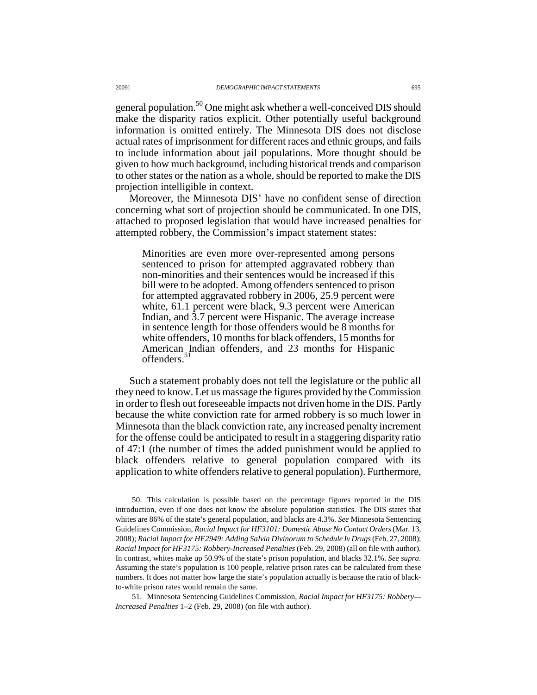general population.<sup>50</sup> One might ask whether a well-conceived DIS should make the disparity ratios explicit. Other potentially useful background information is omitted entirely. The Minnesota DIS does not disclose actual rates of imprisonment for different races and ethnic groups, and fails to include information about jail populations. More thought should be given to how much background, including historical trends and comparison to other states or the nation as a whole, should be reported to make the DIS projection intelligible in context.

Moreover, the Minnesota DIS' have no confident sense of direction concerning what sort of projection should be communicated. In one DIS, attached to proposed legislation that would have increased penalties for attempted robbery, the Commission's impact statement states:

Minorities are even more over-represented among persons sentenced to prison for attempted aggravated robbery than non-minorities and their sentences would be increased if this bill were to be adopted. Among offenders sentenced to prison for attempted aggravated robbery in 2006, 25.9 percent were white, 61.1 percent were black, 9.3 percent were American Indian, and 3.7 percent were Hispanic. The average increase in sentence length for those offenders would be 8 months for white offenders, 10 months for black offenders, 15 months for American Indian offenders, and 23 months for Hispanic offenders.<sup>5</sup>

Such a statement probably does not tell the legislature or the public all they need to know. Let us massage the figures provided by the Commission in order to flesh out foreseeable impacts not driven home in the DIS. Partly because the white conviction rate for armed robbery is so much lower in Minnesota than the black conviction rate, any increased penalty increment for the offense could be anticipated to result in a staggering disparity ratio of 47:1 (the number of times the added punishment would be applied to black offenders relative to general population compared with its application to white offenders relative to general population). Furthermore,

 <sup>50.</sup> This calculation is possible based on the percentage figures reported in the DIS introduction, even if one does not know the absolute population statistics. The DIS states that whites are 86% of the state's general population, and blacks are 4.3%. *See* Minnesota Sentencing Guidelines Commission, *Racial Impact for HF3101: Domestic Abuse No Contact Orders* (Mar. 13, 2008); *Racial Impact for HF2949: Adding Salvia Divinorum to Schedule Iv Drugs* (Feb. 27, 2008); *Racial Impact for HF3175: Robbery-Increased Penalties* (Feb. 29, 2008) (all on file with author). In contrast, whites make up 50.9% of the state's prison population, and blacks 32.1%. *See supra*. Assuming the state's population is 100 people, relative prison rates can be calculated from these numbers. It does not matter how large the state's population actually is because the ratio of blackto-white prison rates would remain the same.

 <sup>51.</sup> Minnesota Sentencing Guidelines Commission, *Racial Impact for HF3175: Robbery— Increased Penalties* 1–2 (Feb. 29, 2008) (on file with author).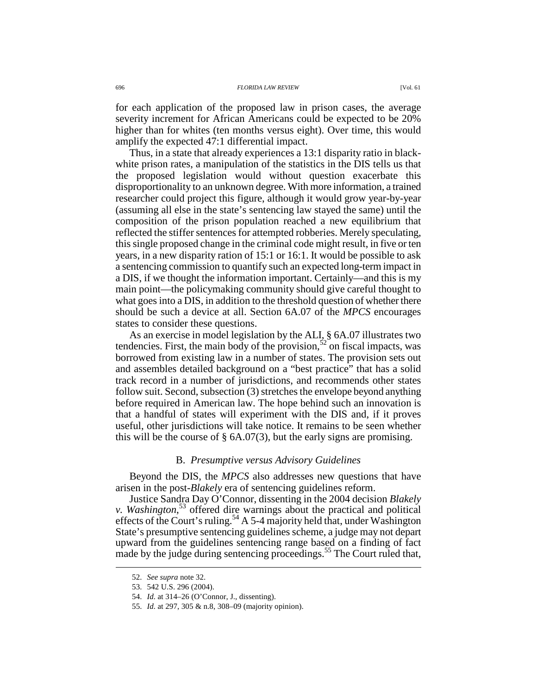for each application of the proposed law in prison cases, the average severity increment for African Americans could be expected to be 20% higher than for whites (ten months versus eight). Over time, this would amplify the expected 47:1 differential impact.

Thus, in a state that already experiences a 13:1 disparity ratio in blackwhite prison rates, a manipulation of the statistics in the DIS tells us that the proposed legislation would without question exacerbate this disproportionality to an unknown degree. With more information, a trained researcher could project this figure, although it would grow year-by-year (assuming all else in the state's sentencing law stayed the same) until the composition of the prison population reached a new equilibrium that reflected the stiffer sentences for attempted robberies. Merely speculating, this single proposed change in the criminal code might result, in five or ten years, in a new disparity ration of 15:1 or 16:1. It would be possible to ask a sentencing commission to quantify such an expected long-term impact in a DIS, if we thought the information important. Certainly—and this is my main point—the policymaking community should give careful thought to what goes into a DIS, in addition to the threshold question of whether there should be such a device at all. Section 6A.07 of the *MPCS* encourages states to consider these questions.

As an exercise in model legislation by the ALI, § 6A.07 illustrates two tendencies. First, the main body of the provision,  $52$  on fiscal impacts, was borrowed from existing law in a number of states. The provision sets out and assembles detailed background on a "best practice" that has a solid track record in a number of jurisdictions, and recommends other states follow suit. Second, subsection (3) stretches the envelope beyond anything before required in American law. The hope behind such an innovation is that a handful of states will experiment with the DIS and, if it proves useful, other jurisdictions will take notice. It remains to be seen whether this will be the course of  $\S$  6A.07(3), but the early signs are promising.

### B. *Presumptive versus Advisory Guidelines*

Beyond the DIS, the *MPCS* also addresses new questions that have arisen in the post-*Blakely* era of sentencing guidelines reform.

Justice Sandra Day O'Connor, dissenting in the 2004 decision *Blakely v. Washington*, <sup>53</sup> offered dire warnings about the practical and political effects of the Court's ruling.<sup>54</sup> A 5-4 majority held that, under Washington State's presumptive sentencing guidelines scheme, a judge may not depart upward from the guidelines sentencing range based on a finding of fact made by the judge during sentencing proceedings.<sup>55</sup> The Court ruled that,

 <sup>52.</sup> *See supra* note 32.

 <sup>53. 542</sup> U.S. 296 (2004).

 <sup>54.</sup> *Id.* at 314–26 (O'Connor, J., dissenting).

 <sup>55.</sup> *Id.* at 297, 305 & n.8, 308–09 (majority opinion).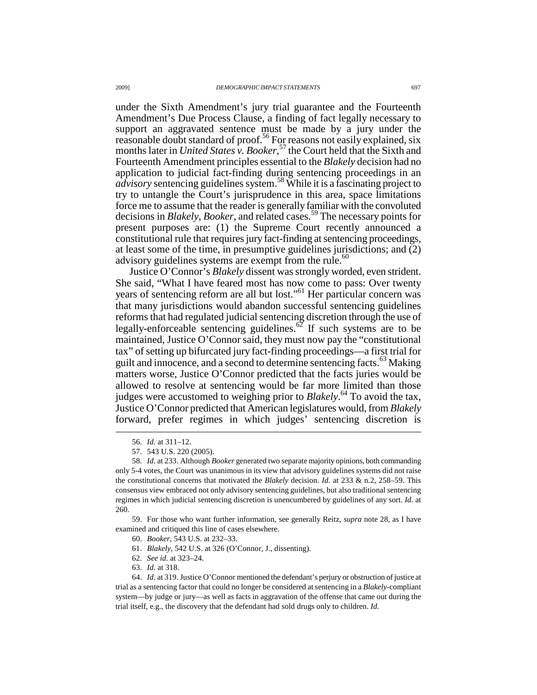under the Sixth Amendment's jury trial guarantee and the Fourteenth Amendment's Due Process Clause, a finding of fact legally necessary to support an aggravated sentence must be made by a jury under the reasonable doubt standard of proof.<sup>56</sup> For reasons not easily explained, six months later in *United States v. Booker*, <sup>57</sup> the Court held that the Sixth and Fourteenth Amendment principles essential to the *Blakely* decision had no application to judicial fact-finding during sentencing proceedings in an *advisory* sentencing guidelines system.<sup>58</sup> While it is a fascinating project to try to untangle the Court's jurisprudence in this area, space limitations force me to assume that the reader is generally familiar with the convoluted decisions in *Blakely*, *Booker*, and related cases.<sup>59</sup> The necessary points for present purposes are: (1) the Supreme Court recently announced a constitutional rule that requires jury fact-finding at sentencing proceedings, at least some of the time, in presumptive guidelines jurisdictions; and (2) advisory guidelines systems are exempt from the rule.<sup>60</sup>

Justice O'Connor's *Blakely* dissent was strongly worded, even strident. She said, "What I have feared most has now come to pass: Over twenty years of sentencing reform are all but lost."<sup>61</sup> Her particular concern was that many jurisdictions would abandon successful sentencing guidelines reforms that had regulated judicial sentencing discretion through the use of legally-enforceable sentencing guidelines.<sup>62</sup> If such systems are to be maintained, Justice O'Connor said, they must now pay the "constitutional tax" of setting up bifurcated jury fact-finding proceedings—a first trial for guilt and innocence, and a second to determine sentencing facts.<sup>63</sup> Making matters worse, Justice O'Connor predicted that the facts juries would be allowed to resolve at sentencing would be far more limited than those judges were accustomed to weighing prior to *Blakely*. <sup>64</sup> To avoid the tax, Justice O'Connor predicted that American legislatures would, from *Blakely* forward, prefer regimes in which judges' sentencing discretion is  $\overline{a}$ 

 59. For those who want further information, see generally Reitz, *supra* note 28, as I have examined and critiqued this line of cases elsewhere.

61. *Blakely*, 542 U.S. at 326 (O'Connor, J., dissenting).

 <sup>56.</sup> *Id.* at 311–12.

 <sup>57. 543</sup> U.S. 220 (2005).

 <sup>58.</sup> *Id.* at 233. Although *Booker* generated two separate majority opinions, both commanding only 5-4 votes, the Court was unanimous in its view that advisory guidelines systems did not raise the constitutional concerns that motivated the *Blakely* decision. *Id.* at 233 & n.2, 258–59. This consensus view embraced not only advisory sentencing guidelines, but also traditional sentencing regimes in which judicial sentencing discretion is unencumbered by guidelines of any sort. *Id.* at 260.

 <sup>60.</sup> *Booker*, 543 U.S. at 232–33.

 <sup>62.</sup> *See id.* at 323–24.

 <sup>63.</sup> *Id.* at 318.

 <sup>64.</sup> *Id.* at 319. Justice O'Connor mentioned the defendant's perjury or obstruction of justice at trial as a sentencing factor that could no longer be considered at sentencing in a *Blakely*-compliant system—by judge or jury—as well as facts in aggravation of the offense that came out during the trial itself, e.g., the discovery that the defendant had sold drugs only to children. *Id.*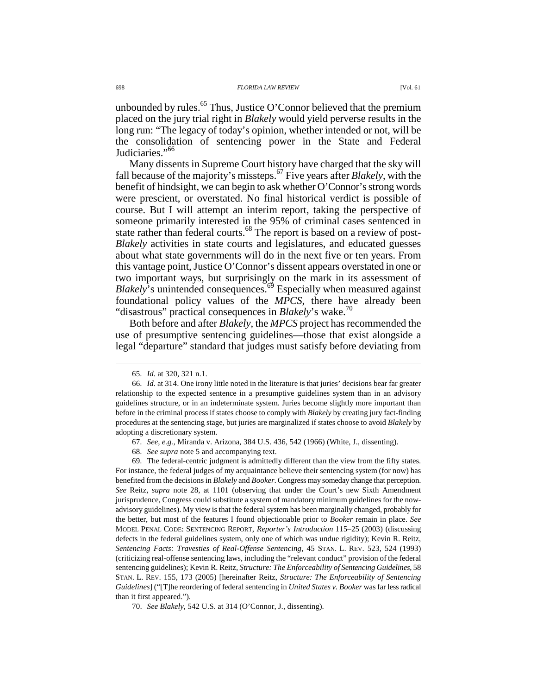unbounded by rules.<sup>65</sup> Thus, Justice O'Connor believed that the premium placed on the jury trial right in *Blakely* would yield perverse results in the long run: "The legacy of today's opinion, whether intended or not, will be the consolidation of sentencing power in the State and Federal Judiciaries."<sup>66</sup>

Many dissents in Supreme Court history have charged that the sky will fall because of the majority's missteps.<sup>67</sup> Five years after *Blakely*, with the benefit of hindsight, we can begin to ask whether O'Connor's strong words were prescient, or overstated. No final historical verdict is possible of course. But I will attempt an interim report, taking the perspective of someone primarily interested in the 95% of criminal cases sentenced in state rather than federal courts.<sup>68</sup> The report is based on a review of post-*Blakely* activities in state courts and legislatures, and educated guesses about what state governments will do in the next five or ten years. From this vantage point, Justice O'Connor's dissent appears overstated in one or two important ways, but surprisingly on the mark in its assessment of *Blakely*'s unintended consequences.<sup>69</sup> Especially when measured against foundational policy values of the *MPCS*, there have already been "disastrous" practical consequences in *Blakely*'s wake.<sup>70</sup>

Both before and after *Blakely*, the *MPCS* project has recommended the use of presumptive sentencing guidelines—those that exist alongside a legal "departure" standard that judges must satisfy before deviating from

 $\overline{a}$ 

 69. The federal-centric judgment is admittedly different than the view from the fifty states. For instance, the federal judges of my acquaintance believe their sentencing system (for now) has benefited from the decisions in *Blakely* and *Booker*. Congress may someday change that perception. *See* Reitz, *supra* note 28, at 1101 (observing that under the Court's new Sixth Amendment jurisprudence, Congress could substitute a system of mandatory minimum guidelines for the nowadvisory guidelines). My view is that the federal system has been marginally changed, probably for the better, but most of the features I found objectionable prior to *Booker* remain in place. *See* MODEL PENAL CODE: SENTENCING REPORT, *Reporter's Introduction* 115–25 (2003) (discussing defects in the federal guidelines system, only one of which was undue rigidity); Kevin R. Reitz, *Sentencing Facts: Travesties of Real-Offense Sentencing*, 45 STAN. L. REV. 523, 524 (1993) (criticizing real-offense sentencing laws, including the "relevant conduct" provision of the federal sentencing guidelines); Kevin R. Reitz, *Structure: The Enforceability of Sentencing Guidelines*, 58 STAN. L. REV. 155, 173 (2005) [hereinafter Reitz, *Structure: The Enforceability of Sentencing Guidelines*] ("[T]he reordering of federal sentencing in *United States v. Booker* was far less radical than it first appeared.").

70. *See Blakely*, 542 U.S. at 314 (O'Connor, J., dissenting).

 <sup>65.</sup> *Id.* at 320, 321 n.1.

 <sup>66.</sup> *Id.* at 314. One irony little noted in the literature is that juries' decisions bear far greater relationship to the expected sentence in a presumptive guidelines system than in an advisory guidelines structure, or in an indeterminate system. Juries become slightly more important than before in the criminal process if states choose to comply with *Blakely* by creating jury fact-finding procedures at the sentencing stage, but juries are marginalized if states choose to avoid *Blakely* by adopting a discretionary system.

 <sup>67.</sup> *See, e.g.*, Miranda v. Arizona, 384 U.S. 436, 542 (1966) (White, J., dissenting).

 <sup>68.</sup> *See supra* note 5 and accompanying text.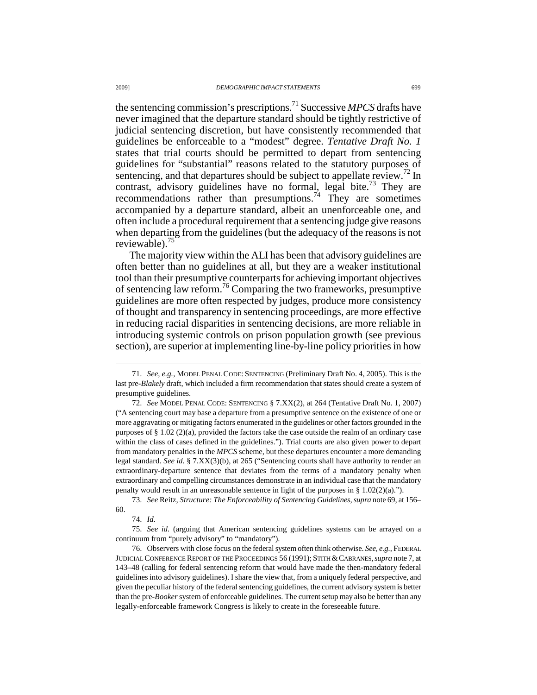the sentencing commission's prescriptions.<sup>71</sup> Successive *MPCS* drafts have never imagined that the departure standard should be tightly restrictive of judicial sentencing discretion, but have consistently recommended that guidelines be enforceable to a "modest" degree. *Tentative Draft No. 1* states that trial courts should be permitted to depart from sentencing guidelines for "substantial" reasons related to the statutory purposes of sentencing, and that departures should be subject to appellate review.<sup>72</sup> In contrast, advisory guidelines have no formal, legal bite.<sup>73</sup> They are recommendations rather than presumptions.<sup>74</sup> They are sometimes accompanied by a departure standard, albeit an unenforceable one, and often include a procedural requirement that a sentencing judge give reasons when departing from the guidelines (but the adequacy of the reasons is not reviewable).<sup>75</sup>

The majority view within the ALI has been that advisory guidelines are often better than no guidelines at all, but they are a weaker institutional tool than their presumptive counterparts for achieving important objectives of sentencing law reform.<sup>76</sup> Comparing the two frameworks, presumptive guidelines are more often respected by judges, produce more consistency of thought and transparency in sentencing proceedings, are more effective in reducing racial disparities in sentencing decisions, are more reliable in introducing systemic controls on prison population growth (see previous section), are superior at implementing line-by-line policy priorities in how

 73. *See* Reitz, *Structure: The Enforceability of Sentencing Guidelines*, *supra* note 69, at 156– 60.

 <sup>71.</sup> *See, e.g.*, MODEL PENAL CODE: SENTENCING (Preliminary Draft No. 4, 2005). This is the last pre-*Blakely* draft, which included a firm recommendation that states should create a system of presumptive guidelines.

 <sup>72.</sup> *See* MODEL PENAL CODE: SENTENCING § 7.XX(2), at 264 (Tentative Draft No. 1, 2007) ("A sentencing court may base a departure from a presumptive sentence on the existence of one or more aggravating or mitigating factors enumerated in the guidelines or other factors grounded in the purposes of § 1.02 (2)(a), provided the factors take the case outside the realm of an ordinary case within the class of cases defined in the guidelines."). Trial courts are also given power to depart from mandatory penalties in the *MPCS* scheme, but these departures encounter a more demanding legal standard. *See id.* § 7.XX(3)(b), at 265 ("Sentencing courts shall have authority to render an extraordinary-departure sentence that deviates from the terms of a mandatory penalty when extraordinary and compelling circumstances demonstrate in an individual case that the mandatory penalty would result in an unreasonable sentence in light of the purposes in §  $1.02(2)(a)$ .").

 <sup>74.</sup> *Id.*

 <sup>75.</sup> *See id.* (arguing that American sentencing guidelines systems can be arrayed on a continuum from "purely advisory" to "mandatory").

 <sup>76.</sup> Observers with close focus on the federal system often think otherwise. *See, e.g.*, FEDERAL JUDICIAL CONFERENCE REPORT OF THE PROCEEDINGS 56 (1991); STITH &CABRANES,*supra* note 7, at 143–48 (calling for federal sentencing reform that would have made the then-mandatory federal guidelines into advisory guidelines). I share the view that, from a uniquely federal perspective, and given the peculiar history of the federal sentencing guidelines, the current advisory system is better than the pre-*Booker* system of enforceable guidelines. The current setup may also be better than any legally-enforceable framework Congress is likely to create in the foreseeable future.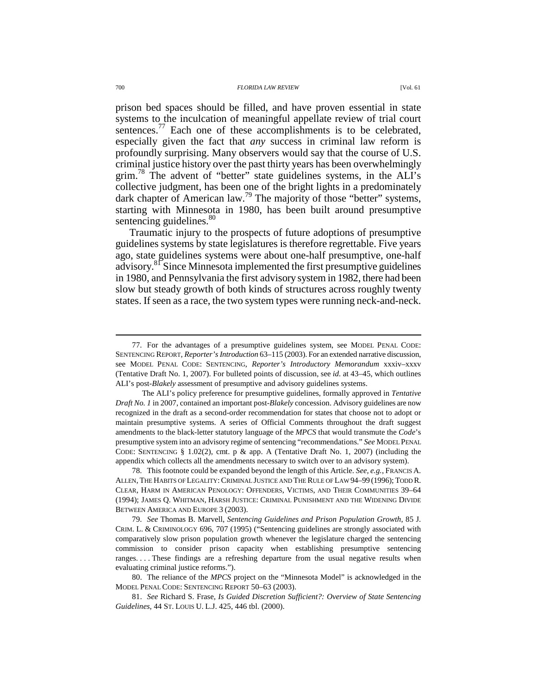sentences. $17$  Each one of these accomplishments is to be celebrated, especially given the fact that *any* success in criminal law reform is profoundly surprising. Many observers would say that the course of U.S. criminal justice history over the past thirty years has been overwhelmingly grim.<sup>78</sup> The advent of "better" state guidelines systems, in the ALI's collective judgment, has been one of the bright lights in a predominately dark chapter of American law.<sup>79</sup> The majority of those "better" systems, starting with Minnesota in 1980, has been built around presumptive sentencing guidelines.<sup>80</sup>

Traumatic injury to the prospects of future adoptions of presumptive guidelines systems by state legislatures is therefore regrettable. Five years ago, state guidelines systems were about one-half presumptive, one-half advisory.<sup>81</sup> Since Minnesota implemented the first presumptive guidelines in 1980, and Pennsylvania the first advisory system in 1982, there had been slow but steady growth of both kinds of structures across roughly twenty states. If seen as a race, the two system types were running neck-and-neck.

 <sup>77.</sup> For the advantages of a presumptive guidelines system, see MODEL PENAL CODE: SENTENCING REPORT, *Reporter's Introduction* 63–115 (2003). For an extended narrative discussion, see MODEL PENAL CODE: SENTENCING, *Reporter's Introductory Memorandum* xxxiv–xxxv (Tentative Draft No. 1, 2007). For bulleted points of discussion, see *id.* at 43–45, which outlines ALI's post-*Blakely* assessment of presumptive and advisory guidelines systems.

The ALI's policy preference for presumptive guidelines, formally approved in *Tentative Draft No. 1* in 2007, contained an important post-*Blakely* concession. Advisory guidelines are now recognized in the draft as a second-order recommendation for states that choose not to adopt or maintain presumptive systems. A series of Official Comments throughout the draft suggest amendments to the black-letter statutory language of the *MPCS* that would transmute the *Code*'s presumptive system into an advisory regime of sentencing "recommendations." *See* MODEL PENAL CODE: SENTENCING § 1.02(2), cmt. p & app. A (Tentative Draft No. 1, 2007) (including the appendix which collects all the amendments necessary to switch over to an advisory system).

 <sup>78.</sup> This footnote could be expanded beyond the length of this Article. *See, e.g.*, FRANCIS A. ALLEN, THE HABITS OF LEGALITY:CRIMINAL JUSTICE AND THE RULE OF LAW 94–99 (1996); TODD R. CLEAR, HARM IN AMERICAN PENOLOGY: OFFENDERS, VICTIMS, AND THEIR COMMUNITIES 39–64 (1994); JAMES Q. WHITMAN, HARSH JUSTICE: CRIMINAL PUNISHMENT AND THE WIDENING DIVIDE BETWEEN AMERICA AND EUROPE 3 (2003).

 <sup>79.</sup> *See* Thomas B. Marvell, *Sentencing Guidelines and Prison Population Growth*, 85 J. CRIM. L. & CRIMINOLOGY 696, 707 (1995) ("Sentencing guidelines are strongly associated with comparatively slow prison population growth whenever the legislature charged the sentencing commission to consider prison capacity when establishing presumptive sentencing ranges. . . . These findings are a refreshing departure from the usual negative results when evaluating criminal justice reforms.").

 <sup>80.</sup> The reliance of the *MPCS* project on the "Minnesota Model" is acknowledged in the MODEL PENAL CODE: SENTENCING REPORT 50–63 (2003).

 <sup>81.</sup> *See* Richard S. Frase, *Is Guided Discretion Sufficient?: Overview of State Sentencing Guidelines*, 44 ST. LOUIS U. L.J. 425, 446 tbl. (2000).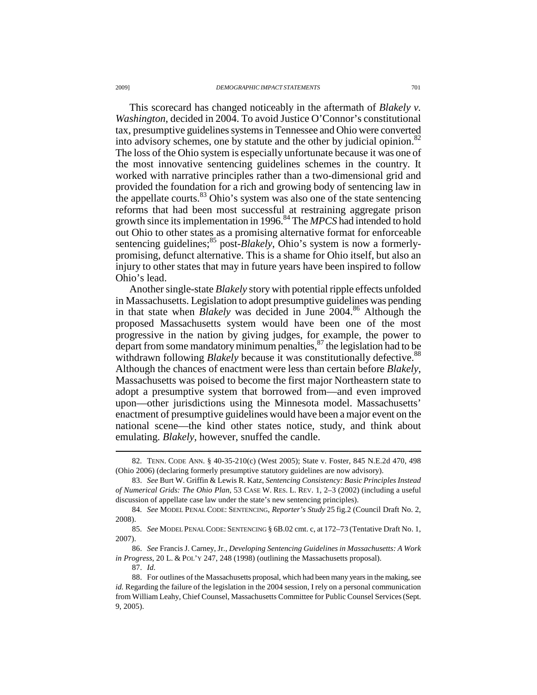This scorecard has changed noticeably in the aftermath of *Blakely v. Washington*, decided in 2004. To avoid Justice O'Connor's constitutional tax, presumptive guidelines systems in Tennessee and Ohio were converted into advisory schemes, one by statute and the other by judicial opinion.<sup>82</sup> The loss of the Ohio system is especially unfortunate because it was one of the most innovative sentencing guidelines schemes in the country. It worked with narrative principles rather than a two-dimensional grid and provided the foundation for a rich and growing body of sentencing law in the appellate courts. $83$  Ohio's system was also one of the state sentencing reforms that had been most successful at restraining aggregate prison growth since its implementation in 1996.<sup>84</sup> The *MPCS* had intended to hold out Ohio to other states as a promising alternative format for enforceable sentencing guidelines;<sup>85</sup> post-*Blakely*, Ohio's system is now a formerlypromising, defunct alternative. This is a shame for Ohio itself, but also an injury to other states that may in future years have been inspired to follow Ohio's lead.

Another single-state *Blakely* story with potential ripple effects unfolded in Massachusetts. Legislation to adopt presumptive guidelines was pending in that state when *Blakely* was decided in June 2004.<sup>86</sup> Although the proposed Massachusetts system would have been one of the most progressive in the nation by giving judges, for example, the power to depart from some mandatory minimum penalties, $\frac{8}{3}$  the legislation had to be withdrawn following *Blakely* because it was constitutionally defective.<sup>88</sup> Although the chances of enactment were less than certain before *Blakely*, Massachusetts was poised to become the first major Northeastern state to adopt a presumptive system that borrowed from—and even improved upon—other jurisdictions using the Minnesota model. Massachusetts' enactment of presumptive guidelines would have been a major event on the national scene—the kind other states notice, study, and think about emulating. *Blakely*, however, snuffed the candle.

 <sup>82.</sup> TENN. CODE ANN. § 40-35-210(c) (West 2005); State v. Foster, 845 N.E.2d 470, 498 (Ohio 2006) (declaring formerly presumptive statutory guidelines are now advisory).

 <sup>83.</sup> *See* Burt W. Griffin & Lewis R. Katz, *Sentencing Consistency: Basic Principles Instead of Numerical Grids: The Ohio Plan*, 53 CASE W. RES. L. REV. 1, 2–3 (2002) (including a useful discussion of appellate case law under the state's new sentencing principles).

 <sup>84.</sup> *See* MODEL PENAL CODE: SENTENCING, *Reporter's Study* 25 fig.2 (Council Draft No. 2, 2008).

 <sup>85.</sup> *See* MODEL PENAL CODE: SENTENCING § 6B.02 cmt. c, at 172–73 (Tentative Draft No. 1, 2007).

 <sup>86.</sup> *See* Francis J. Carney, Jr., *Developing Sentencing Guidelines in Massachusetts: A Work in Progress*, 20 L. & POL'Y 247, 248 (1998) (outlining the Massachusetts proposal).

 <sup>87.</sup> *Id.*

 <sup>88.</sup> For outlines of the Massachusetts proposal, which had been many years in the making, see *id.* Regarding the failure of the legislation in the 2004 session, I rely on a personal communication from William Leahy, Chief Counsel, Massachusetts Committee for Public Counsel Services (Sept. 9, 2005).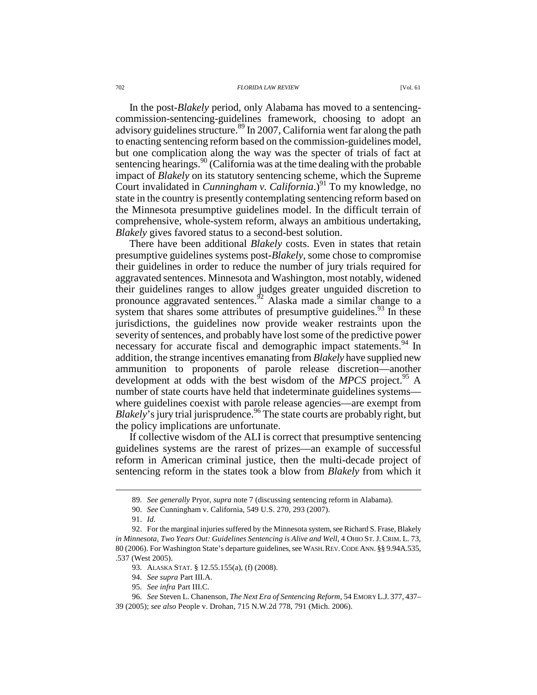#### 702 *FLORIDA LAW REVIEW* [Vol. 61

In the post-*Blakely* period, only Alabama has moved to a sentencingcommission-sentencing-guidelines framework, choosing to adopt an advisory guidelines structure.<sup>89</sup> In 2007, California went far along the path to enacting sentencing reform based on the commission-guidelines model, but one complication along the way was the specter of trials of fact at sentencing hearings.<sup>90</sup> (California was at the time dealing with the probable impact of *Blakely* on its statutory sentencing scheme, which the Supreme Court invalidated in *Cunningham v. California*.)<sup>91</sup> To my knowledge, no state in the country is presently contemplating sentencing reform based on the Minnesota presumptive guidelines model. In the difficult terrain of comprehensive, whole-system reform, always an ambitious undertaking, *Blakely* gives favored status to a second-best solution.

There have been additional *Blakely* costs. Even in states that retain presumptive guidelines systems post-*Blakely*, some chose to compromise their guidelines in order to reduce the number of jury trials required for aggravated sentences. Minnesota and Washington, most notably, widened their guidelines ranges to allow judges greater unguided discretion to pronounce aggravated sentences.<sup>92</sup> Alaska made a similar change to a system that shares some attributes of presumptive guidelines.<sup>93</sup> In these jurisdictions, the guidelines now provide weaker restraints upon the severity of sentences, and probably have lost some of the predictive power necessary for accurate fiscal and demographic impact statements.<sup>94</sup> In addition, the strange incentives emanating from *Blakely* have supplied new ammunition to proponents of parole release discretion—another development at odds with the best wisdom of the *MPCS* project.<sup>95</sup> A number of state courts have held that indeterminate guidelines systems where guidelines coexist with parole release agencies—are exempt from *Blakely*'s jury trial jurisprudence.<sup>96</sup> The state courts are probably right, but the policy implications are unfortunate.

If collective wisdom of the ALI is correct that presumptive sentencing guidelines systems are the rarest of prizes—an example of successful reform in American criminal justice, then the multi-decade project of sentencing reform in the states took a blow from *Blakely* from which it

 <sup>89.</sup> *See generally* Pryor, *supra* note 7 (discussing sentencing reform in Alabama).

 <sup>90.</sup> *See* Cunningham v. California, 549 U.S. 270, 293 (2007).

 <sup>91.</sup> *Id.*

 <sup>92.</sup> For the marginal injuries suffered by the Minnesota system, see Richard S. Frase, Blakely *in Minnesota, Two Years Out: Guidelines Sentencing is Alive and Well*, 4 OHIO ST. J. CRIM. L. 73, 80 (2006). For Washington State's departure guidelines, see WASH.REV.CODE ANN. §§ 9.94A.535, .537 (West 2005).

 <sup>93.</sup> ALASKA STAT. § 12.55.155(a), (f) (2008).

 <sup>94.</sup> *See supra* Part III.A.

 <sup>95.</sup> *See infra* Part III.C.

 <sup>96.</sup> *See* Steven L. Chanenson, *The Next Era of Sentencing Reform*, 54 EMORY L.J. 377, 437– 39 (2005); *see also* People v. Drohan, 715 N.W.2d 778, 791 (Mich. 2006).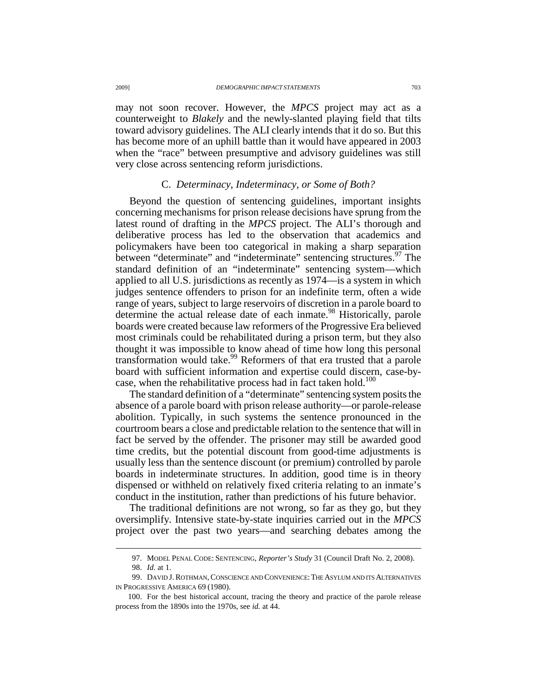may not soon recover. However, the *MPCS* project may act as a counterweight to *Blakely* and the newly-slanted playing field that tilts toward advisory guidelines. The ALI clearly intends that it do so. But this has become more of an uphill battle than it would have appeared in 2003 when the "race" between presumptive and advisory guidelines was still very close across sentencing reform jurisdictions.

## C. *Determinacy, Indeterminacy, or Some of Both?*

Beyond the question of sentencing guidelines, important insights concerning mechanisms for prison release decisions have sprung from the latest round of drafting in the *MPCS* project. The ALI's thorough and deliberative process has led to the observation that academics and policymakers have been too categorical in making a sharp separation between "determinate" and "indeterminate" sentencing structures.<sup>97</sup> The standard definition of an "indeterminate" sentencing system—which applied to all U.S. jurisdictions as recently as 1974—is a system in which judges sentence offenders to prison for an indefinite term, often a wide range of years, subject to large reservoirs of discretion in a parole board to determine the actual release date of each inmate.<sup>98</sup> Historically, parole boards were created because law reformers of the Progressive Era believed most criminals could be rehabilitated during a prison term, but they also thought it was impossible to know ahead of time how long this personal transformation would take.<sup>99</sup> Reformers of that era trusted that a parole board with sufficient information and expertise could discern, case-bycase, when the rehabilitative process had in fact taken hold.<sup>100</sup>

The standard definition of a "determinate" sentencing system posits the absence of a parole board with prison release authority—or parole-release abolition. Typically, in such systems the sentence pronounced in the courtroom bears a close and predictable relation to the sentence that will in fact be served by the offender. The prisoner may still be awarded good time credits, but the potential discount from good-time adjustments is usually less than the sentence discount (or premium) controlled by parole boards in indeterminate structures. In addition, good time is in theory dispensed or withheld on relatively fixed criteria relating to an inmate's conduct in the institution, rather than predictions of his future behavior.

The traditional definitions are not wrong, so far as they go, but they oversimplify. Intensive state-by-state inquiries carried out in the *MPCS* project over the past two years—and searching debates among the

 <sup>97.</sup> MODEL PENAL CODE: SENTENCING, *Reporter's Study* 31 (Council Draft No. 2, 2008).

 <sup>98.</sup> *Id.* at 1.

 <sup>99.</sup> DAVID J.ROTHMAN,CONSCIENCE AND CONVENIENCE:THE ASYLUM AND ITS ALTERNATIVES IN PROGRESSIVE AMERICA 69 (1980).

 <sup>100.</sup> For the best historical account, tracing the theory and practice of the parole release process from the 1890s into the 1970s, see *id.* at 44.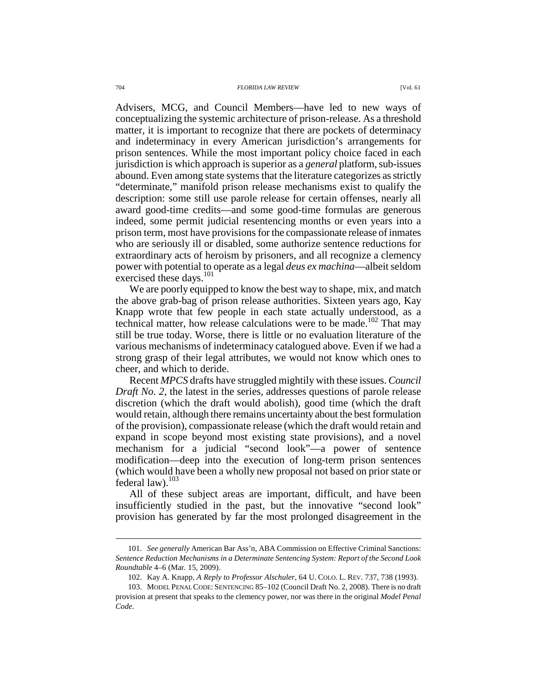Advisers, MCG, and Council Members—have led to new ways of conceptualizing the systemic architecture of prison-release. As a threshold matter, it is important to recognize that there are pockets of determinacy and indeterminacy in every American jurisdiction's arrangements for prison sentences. While the most important policy choice faced in each jurisdiction is which approach is superior as a *general* platform, sub-issues abound. Even among state systems that the literature categorizes as strictly "determinate," manifold prison release mechanisms exist to qualify the description: some still use parole release for certain offenses, nearly all award good-time credits—and some good-time formulas are generous indeed, some permit judicial resentencing months or even years into a prison term, most have provisions for the compassionate release of inmates who are seriously ill or disabled, some authorize sentence reductions for extraordinary acts of heroism by prisoners, and all recognize a clemency power with potential to operate as a legal *deus ex machina*—albeit seldom exercised these days.<sup>101</sup>

We are poorly equipped to know the best way to shape, mix, and match the above grab-bag of prison release authorities. Sixteen years ago, Kay Knapp wrote that few people in each state actually understood, as a technical matter, how release calculations were to be made.<sup>102</sup> That may still be true today. Worse, there is little or no evaluation literature of the various mechanisms of indeterminacy catalogued above. Even if we had a strong grasp of their legal attributes, we would not know which ones to cheer, and which to deride.

Recent *MPCS* drafts have struggled mightily with these issues. *Council Draft No. 2*, the latest in the series, addresses questions of parole release discretion (which the draft would abolish), good time (which the draft would retain, although there remains uncertainty about the best formulation of the provision), compassionate release (which the draft would retain and expand in scope beyond most existing state provisions), and a novel mechanism for a judicial "second look"—a power of sentence modification—deep into the execution of long-term prison sentences (which would have been a wholly new proposal not based on prior state or federal  $law$ ).<sup>103</sup>

All of these subject areas are important, difficult, and have been insufficiently studied in the past, but the innovative "second look" provision has generated by far the most prolonged disagreement in the

 <sup>101.</sup> *See generally* American Bar Ass'n, ABA Commission on Effective Criminal Sanctions: *Sentence Reduction Mechanisms in a Determinate Sentencing System: Report of the Second Look Roundtable* 4–6 (Mar. 15, 2009).

 <sup>102.</sup> Kay A. Knapp, *A Reply to Professor Alschuler*, 64 U. COLO. L. REV. 737, 738 (1993).

 <sup>103.</sup> MODEL PENAL CODE: SENTENCING 85–102 (Council Draft No. 2, 2008). There is no draft provision at present that speaks to the clemency power, nor was there in the original *Model Penal Code*.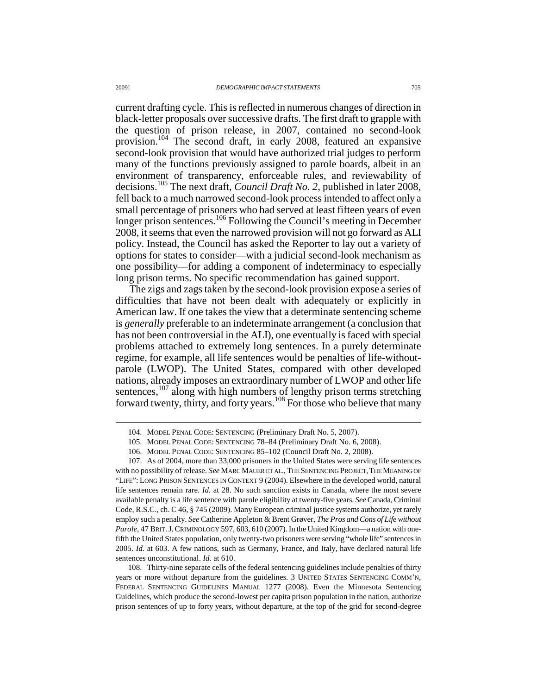current drafting cycle. This is reflected in numerous changes of direction in black-letter proposals over successive drafts. The first draft to grapple with the question of prison release, in 2007, contained no second-look provision.<sup>104</sup> The second draft, in early 2008, featured an expansive second-look provision that would have authorized trial judges to perform many of the functions previously assigned to parole boards, albeit in an environment of transparency, enforceable rules, and reviewability of decisions.<sup>105</sup> The next draft, *Council Draft No. 2*, published in later 2008, fell back to a much narrowed second-look process intended to affect only a small percentage of prisoners who had served at least fifteen years of even longer prison sentences.<sup>106</sup> Following the Council's meeting in December 2008, it seems that even the narrowed provision will not go forward as ALI policy. Instead, the Council has asked the Reporter to lay out a variety of options for states to consider—with a judicial second-look mechanism as one possibility—for adding a component of indeterminacy to especially long prison terms. No specific recommendation has gained support.

The zigs and zags taken by the second-look provision expose a series of difficulties that have not been dealt with adequately or explicitly in American law. If one takes the view that a determinate sentencing scheme is *generally* preferable to an indeterminate arrangement (a conclusion that has not been controversial in the ALI), one eventually is faced with special problems attached to extremely long sentences. In a purely determinate regime, for example, all life sentences would be penalties of life-withoutparole (LWOP). The United States, compared with other developed nations, already imposes an extraordinary number of LWOP and other life sentences, $107$  along with high numbers of lengthy prison terms stretching forward twenty, thirty, and forty years.<sup>108</sup> For those who believe that many

 <sup>104.</sup> MODEL PENAL CODE: SENTENCING (Preliminary Draft No. 5, 2007).

 <sup>105.</sup> MODEL PENAL CODE: SENTENCING 78–84 (Preliminary Draft No. 6, 2008).

 <sup>106.</sup> MODEL PENAL CODE: SENTENCING 85–102 (Council Draft No. 2, 2008).

 <sup>107.</sup> As of 2004, more than 33,000 prisoners in the United States were serving life sentences with no possibility of release. *See* MARC MAUER ET AL., THE SENTENCING PROJECT,THE MEANING OF "LIFE": LONG PRISON SENTENCES IN CONTEXT 9 (2004). Elsewhere in the developed world, natural life sentences remain rare. *Id.* at 28. No such sanction exists in Canada, where the most severe available penalty is a life sentence with parole eligibility at twenty-five years. *See* Canada, Criminal Code, R.S.C., ch. C 46, § 745 (2009). Many European criminal justice systems authorize, yet rarely employ such a penalty. *See* Catherine Appleton & Brent Grøver, *The Pros and Cons of Life without Parole*, 47 BRIT.J.CRIMINOLOGY 597, 603, 610 (2007). In the United Kingdom—a nation with onefifth the United States population, only twenty-two prisoners were serving "whole life" sentences in 2005. *Id.* at 603. A few nations, such as Germany, France, and Italy, have declared natural life sentences unconstitutional. *Id.* at 610.

 <sup>108.</sup> Thirty-nine separate cells of the federal sentencing guidelines include penalties of thirty years or more without departure from the guidelines. 3 UNITED STATES SENTENCING COMM'N, FEDERAL SENTENCING GUIDELINES MANUAL 1277 (2008). Even the Minnesota Sentencing Guidelines, which produce the second-lowest per capita prison population in the nation, authorize prison sentences of up to forty years, without departure, at the top of the grid for second-degree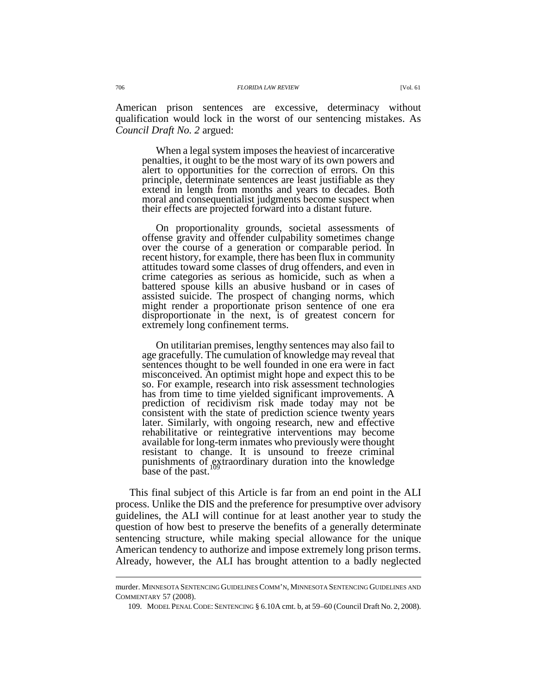American prison sentences are excessive, determinacy without qualification would lock in the worst of our sentencing mistakes. As *Council Draft No. 2* argued:

When a legal system imposes the heaviest of incarcerative penalties, it ought to be the most wary of its own powers and alert to opportunities for the correction of errors. On this principle, determinate sentences are least justifiable as they extend in length from months and years to decades. Both moral and consequentialist judgments become suspect when their effects are projected forward into a distant future.

On proportionality grounds, societal assessments of offense gravity and offender culpability sometimes change over the course of a generation or comparable period. In recent history, for example, there has been flux in community attitudes toward some classes of drug offenders, and even in crime categories as serious as homicide, such as when a battered spouse kills an abusive husband or in cases of assisted suicide. The prospect of changing norms, which might render a proportionate prison sentence of one era disproportionate in the next, is of greatest concern for extremely long confinement terms.

On utilitarian premises, lengthy sentences may also fail to age gracefully. The cumulation of knowledge may reveal that sentences thought to be well founded in one era were in fact misconceived. An optimist might hope and expect this to be so. For example, research into risk assessment technologies has from time to time yielded significant improvements. A prediction of recidivism risk made today may not be consistent with the state of prediction science twenty years later. Similarly, with ongoing research, new and effective rehabilitative or reintegrative interventions may become available for long-term inmates who previously were thought resistant to change. It is unsound to freeze criminal punishments of extraordinary duration into the knowledge base of the past.<sup>109</sup>

This final subject of this Article is far from an end point in the ALI process. Unlike the DIS and the preference for presumptive over advisory guidelines, the ALI will continue for at least another year to study the question of how best to preserve the benefits of a generally determinate sentencing structure, while making special allowance for the unique American tendency to authorize and impose extremely long prison terms. Already, however, the ALI has brought attention to a badly neglected

murder. MINNESOTA SENTENCING GUIDELINES COMM'N, MINNESOTA SENTENCING GUIDELINES AND COMMENTARY 57 (2008).

 <sup>109.</sup> MODEL PENAL CODE: SENTENCING § 6.10A cmt. b, at 59–60 (Council Draft No. 2, 2008).